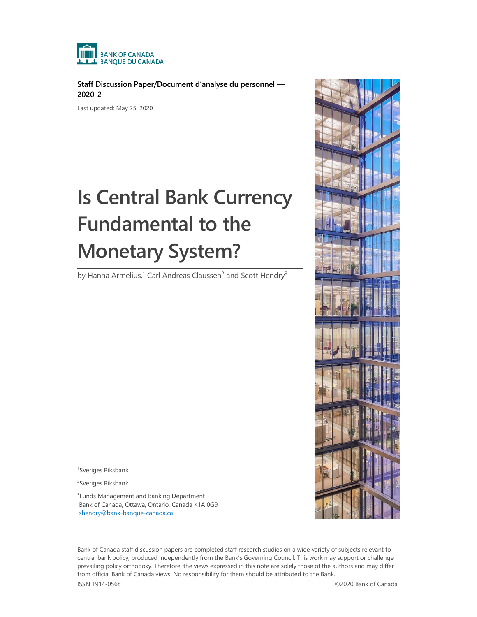

**Staff Discussion Paper/Document d'analyse du personnel — 2020-2**

Last updated: May 25, 2020

# **Is Central Bank Currency Fundamental to the Monetary System?**

by Hanna Armelius,<sup>1</sup> Carl Andreas Claussen<sup>2</sup> and Scott Hendry<sup>3</sup>



2 Sveriges Riksbank

3 Funds Management and Banking Department Bank of Canada, Ottawa, Ontario, Canada K1A 0G9 [shendry@bank-banque-canada.ca](mailto:shendry@bank-banque-canada.ca)

Bank of Canada staff discussion papers are completed staff research studies on a wide variety of subjects relevant to central bank policy, produced independently from the Bank's Governing Council. This work may support or challenge prevailing policy orthodoxy. Therefore, the views expressed in this note are solely those of the authors and may differ from official Bank of Canada views. No responsibility for them should be attributed to the Bank.

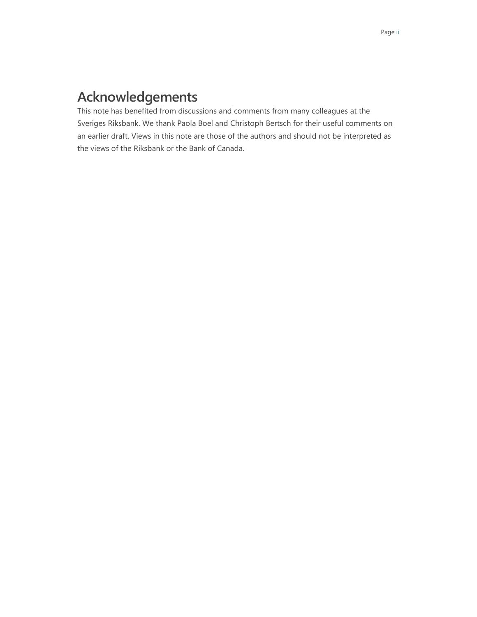# **Acknowledgements**

This note has benefited from discussions and comments from many colleagues at the Sveriges Riksbank. We thank Paola Boel and Christoph Bertsch for their useful comments on an earlier draft. Views in this note are those of the authors and should not be interpreted as the views of the Riksbank or the Bank of Canada.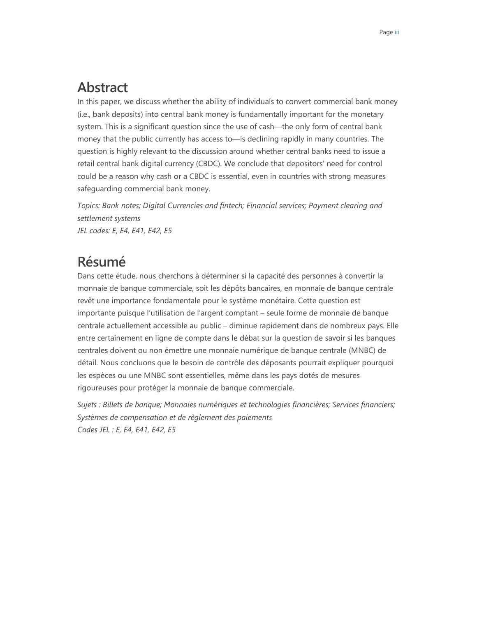# **Abstract**

In this paper, we discuss whether the ability of individuals to convert commercial bank money (i.e., bank deposits) into central bank money is fundamentally important for the monetary system. This is a significant question since the use of cash—the only form of central bank money that the public currently has access to—is declining rapidly in many countries. The question is highly relevant to the discussion around whether central banks need to issue a retail central bank digital currency (CBDC). We conclude that depositors' need for control could be a reason why cash or a CBDC is essential, even in countries with strong measures safeguarding commercial bank money.

*Topics: Bank notes; Digital Currencies and fintech; Financial services; Payment clearing and settlement systems JEL codes: E, E4, E41, E42, E5*

# **Résumé**

Dans cette étude, nous cherchons à déterminer si la capacité des personnes à convertir la monnaie de banque commerciale, soit les dépôts bancaires, en monnaie de banque centrale revêt une importance fondamentale pour le système monétaire. Cette question est importante puisque l'utilisation de l'argent comptant – seule forme de monnaie de banque centrale actuellement accessible au public – diminue rapidement dans de nombreux pays. Elle entre certainement en ligne de compte dans le débat sur la question de savoir si les banques centrales doivent ou non émettre une monnaie numérique de banque centrale (MNBC) de détail. Nous concluons que le besoin de contrôle des déposants pourrait expliquer pourquoi les espèces ou une MNBC sont essentielles, même dans les pays dotés de mesures rigoureuses pour protéger la monnaie de banque commerciale.

*Sujets : Billets de banque; Monnaies numériques et technologies financières; Services financiers; Systèmes de compensation et de règlement des paiements Codes JEL : E, E4, E41, E42, E5*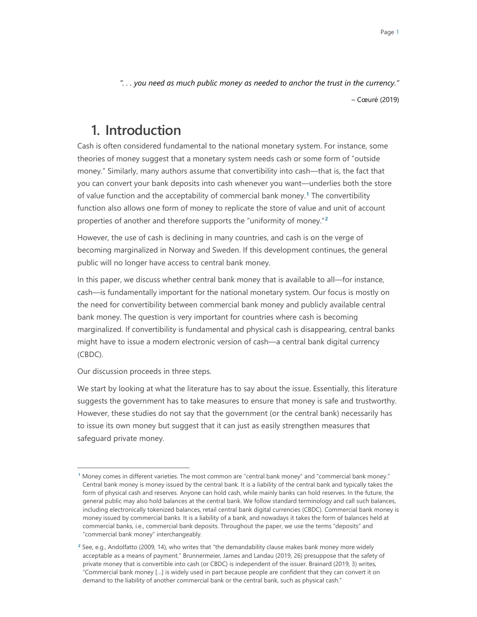*". . . you need as much public money as needed to anchor the trust in the currency."* – Cœuré (2019)

# **1. Introduction**

Cash is often considered fundamental to the national monetary system. For instance, some theories of money suggest that a monetary system needs cash or some form of "outside money." Similarly, many authors assume that convertibility into cash—that is, the fact that you can convert your bank deposits into cash whenever you want—underlies both the store of value function and the acceptability of commercial bank money.**[1](#page-3-0)** The convertibility function also allows one form of money to replicate the store of value and unit of account properties of another and therefore supports the "uniformity of money."**[2](#page-3-1)**

However, the use of cash is declining in many countries, and cash is on the verge of becoming marginalized in Norway and Sweden. If this development continues, the general public will no longer have access to central bank money.

In this paper, we discuss whether central bank money that is available to all—for instance, cash—is fundamentally important for the national monetary system. Our focus is mostly on the need for convertibility between commercial bank money and publicly available central bank money. The question is very important for countries where cash is becoming marginalized. If convertibility is fundamental and physical cash is disappearing, central banks might have to issue a modern electronic version of cash—a central bank digital currency (CBDC).

Our discussion proceeds in three steps.

-

We start by looking at what the literature has to say about the issue. Essentially, this literature suggests the government has to take measures to ensure that money is safe and trustworthy. However, these studies do not say that the government (or the central bank) necessarily has to issue its own money but suggest that it can just as easily strengthen measures that safeguard private money.

<span id="page-3-0"></span>**<sup>1</sup>** Money comes in different varieties. The most common are "central bank money" and "commercial bank money." Central bank money is money issued by the central bank. It is a liability of the central bank and typically takes the form of physical cash and reserves. Anyone can hold cash, while mainly banks can hold reserves. In the future, the general public may also hold balances at the central bank. We follow standard terminology and call such balances, including electronically tokenized balances, retail central bank digital currencies (CBDC). Commercial bank money is money issued by commercial banks. It is a liability of a bank, and nowadays it takes the form of balances held at commercial banks, i.e., commercial bank deposits. Throughout the paper, we use the terms "deposits" and "commercial bank money" interchangeably.

<span id="page-3-1"></span>**<sup>2</sup>** See, e.g., Andolfatto (2009, 14), who writes that "the demandability clause makes bank money more widely acceptable as a means of payment." Brunnermeier, James and Landau (2019, 26) presuppose that the safety of private money that is convertible into cash (or CBDC) is independent of the issuer. Brainard (2019, 3) writes, "Commercial bank money […] is widely used in part because people are confident that they can convert it on demand to the liability of another commercial bank or the central bank, such as physical cash."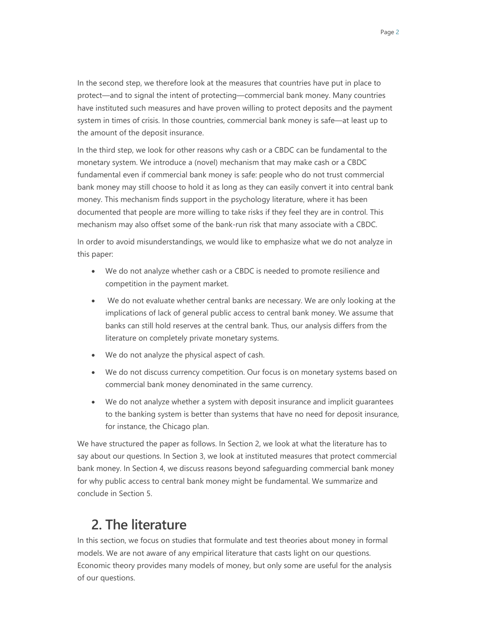In the second step, we therefore look at the measures that countries have put in place to protect—and to signal the intent of protecting—commercial bank money. Many countries have instituted such measures and have proven willing to protect deposits and the payment system in times of crisis. In those countries, commercial bank money is safe—at least up to the amount of the deposit insurance.

In the third step, we look for other reasons why cash or a CBDC can be fundamental to the monetary system. We introduce a (novel) mechanism that may make cash or a CBDC fundamental even if commercial bank money is safe: people who do not trust commercial bank money may still choose to hold it as long as they can easily convert it into central bank money. This mechanism finds support in the psychology literature, where it has been documented that people are more willing to take risks if they feel they are in control. This mechanism may also offset some of the bank-run risk that many associate with a CBDC.

In order to avoid misunderstandings, we would like to emphasize what we do not analyze in this paper:

- We do not analyze whether cash or a CBDC is needed to promote resilience and competition in the payment market.
- We do not evaluate whether central banks are necessary. We are only looking at the implications of lack of general public access to central bank money. We assume that banks can still hold reserves at the central bank. Thus, our analysis differs from the literature on completely private monetary systems.
- We do not analyze the physical aspect of cash.
- We do not discuss currency competition. Our focus is on monetary systems based on commercial bank money denominated in the same currency.
- We do not analyze whether a system with deposit insurance and implicit guarantees to the banking system is better than systems that have no need for deposit insurance, for instance, the Chicago plan.

We have structured the paper as follows. In Section 2, we look at what the literature has to say about our questions. In Section 3, we look at instituted measures that protect commercial bank money. In Section 4, we discuss reasons beyond safeguarding commercial bank money for why public access to central bank money might be fundamental. We summarize and conclude in Section 5.

# **2. The literature**

In this section, we focus on studies that formulate and test theories about money in formal models. We are not aware of any empirical literature that casts light on our questions. Economic theory provides many models of money, but only some are useful for the analysis of our questions.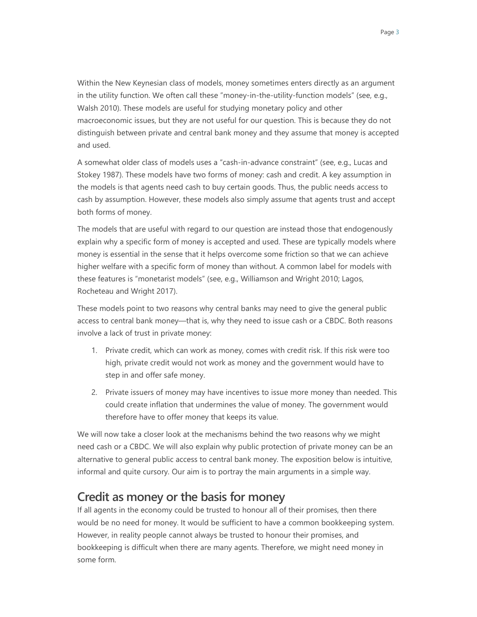Within the New Keynesian class of models, money sometimes enters directly as an argument in the utility function. We often call these "money-in-the-utility-function models" (see, e.g., Walsh 2010). These models are useful for studying monetary policy and other macroeconomic issues, but they are not useful for our question. This is because they do not distinguish between private and central bank money and they assume that money is accepted and used.

A somewhat older class of models uses a "cash-in-advance constraint" (see, e.g., Lucas and Stokey 1987). These models have two forms of money: cash and credit. A key assumption in the models is that agents need cash to buy certain goods. Thus, the public needs access to cash by assumption. However, these models also simply assume that agents trust and accept both forms of money.

The models that are useful with regard to our question are instead those that endogenously explain why a specific form of money is accepted and used. These are typically models where money is essential in the sense that it helps overcome some friction so that we can achieve higher welfare with a specific form of money than without. A common label for models with these features is "monetarist models" (see, e.g., Williamson and Wright 2010; Lagos, Rocheteau and Wright 2017).

These models point to two reasons why central banks may need to give the general public access to central bank money—that is, why they need to issue cash or a CBDC. Both reasons involve a lack of trust in private money:

- 1. Private credit, which can work as money, comes with credit risk. If this risk were too high, private credit would not work as money and the government would have to step in and offer safe money.
- 2. Private issuers of money may have incentives to issue more money than needed. This could create inflation that undermines the value of money. The government would therefore have to offer money that keeps its value.

We will now take a closer look at the mechanisms behind the two reasons why we might need cash or a CBDC. We will also explain why public protection of private money can be an alternative to general public access to central bank money. The exposition below is intuitive, informal and quite cursory. Our aim is to portray the main arguments in a simple way.

### **Credit as money or the basis for money**

If all agents in the economy could be trusted to honour all of their promises, then there would be no need for money. It would be sufficient to have a common bookkeeping system. However, in reality people cannot always be trusted to honour their promises, and bookkeeping is difficult when there are many agents. Therefore, we might need money in some form.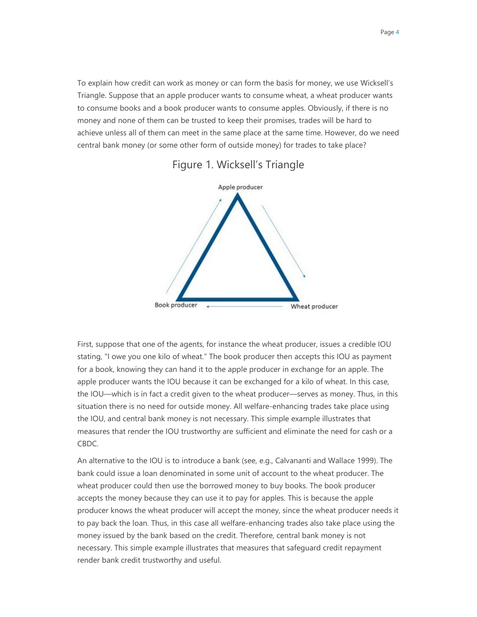To explain how credit can work as money or can form the basis for money, we use Wicksell's Triangle. Suppose that an apple producer wants to consume wheat, a wheat producer wants to consume books and a book producer wants to consume apples. Obviously, if there is no money and none of them can be trusted to keep their promises, trades will be hard to achieve unless all of them can meet in the same place at the same time. However, do we need central bank money (or some other form of outside money) for trades to take place?



#### Figure 1. Wicksell's Triangle

First, suppose that one of the agents, for instance the wheat producer, issues a credible IOU stating, "I owe you one kilo of wheat." The book producer then accepts this IOU as payment for a book, knowing they can hand it to the apple producer in exchange for an apple. The apple producer wants the IOU because it can be exchanged for a kilo of wheat. In this case, the IOU—which is in fact a credit given to the wheat producer—serves as money. Thus, in this situation there is no need for outside money. All welfare-enhancing trades take place using the IOU, and central bank money is not necessary. This simple example illustrates that measures that render the IOU trustworthy are sufficient and eliminate the need for cash or a CBDC.

An alternative to the IOU is to introduce a bank (see, e.g., Calvananti and Wallace 1999). The bank could issue a loan denominated in some unit of account to the wheat producer. The wheat producer could then use the borrowed money to buy books. The book producer accepts the money because they can use it to pay for apples. This is because the apple producer knows the wheat producer will accept the money, since the wheat producer needs it to pay back the loan. Thus, in this case all welfare-enhancing trades also take place using the money issued by the bank based on the credit. Therefore, central bank money is not necessary. This simple example illustrates that measures that safeguard credit repayment render bank credit trustworthy and useful.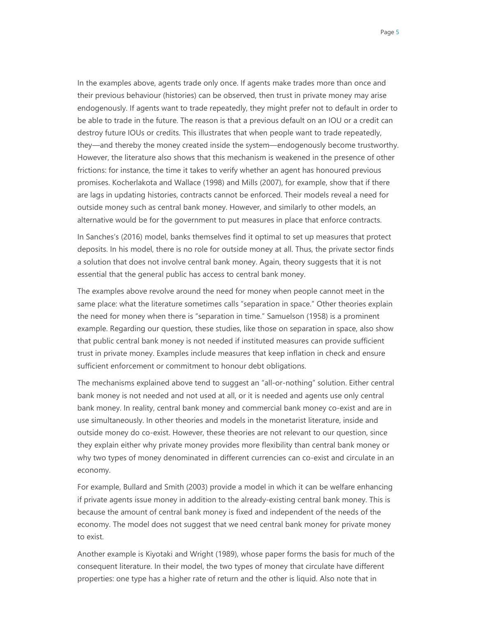In the examples above, agents trade only once. If agents make trades more than once and their previous behaviour (histories) can be observed, then trust in private money may arise endogenously. If agents want to trade repeatedly, they might prefer not to default in order to be able to trade in the future. The reason is that a previous default on an IOU or a credit can destroy future IOUs or credits. This illustrates that when people want to trade repeatedly, they—and thereby the money created inside the system—endogenously become trustworthy. However, the literature also shows that this mechanism is weakened in the presence of other frictions: for instance, the time it takes to verify whether an agent has honoured previous promises. Kocherlakota and Wallace (1998) and Mills (2007), for example, show that if there are lags in updating histories, contracts cannot be enforced. Their models reveal a need for outside money such as central bank money. However, and similarly to other models, an alternative would be for the government to put measures in place that enforce contracts.

In Sanches's (2016) model, banks themselves find it optimal to set up measures that protect deposits. In his model, there is no role for outside money at all. Thus, the private sector finds a solution that does not involve central bank money. Again, theory suggests that it is not essential that the general public has access to central bank money.

The examples above revolve around the need for money when people cannot meet in the same place: what the literature sometimes calls "separation in space." Other theories explain the need for money when there is "separation in time." Samuelson (1958) is a prominent example. Regarding our question, these studies, like those on separation in space, also show that public central bank money is not needed if instituted measures can provide sufficient trust in private money. Examples include measures that keep inflation in check and ensure sufficient enforcement or commitment to honour debt obligations.

The mechanisms explained above tend to suggest an "all-or-nothing" solution. Either central bank money is not needed and not used at all, or it is needed and agents use only central bank money. In reality, central bank money and commercial bank money co-exist and are in use simultaneously. In other theories and models in the monetarist literature, inside and outside money do co-exist. However, these theories are not relevant to our question, since they explain either why private money provides more flexibility than central bank money or why two types of money denominated in different currencies can co-exist and circulate in an economy.

For example, Bullard and Smith (2003) provide a model in which it can be welfare enhancing if private agents issue money in addition to the already-existing central bank money. This is because the amount of central bank money is fixed and independent of the needs of the economy. The model does not suggest that we need central bank money for private money to exist.

Another example is Kiyotaki and Wright (1989), whose paper forms the basis for much of the consequent literature. In their model, the two types of money that circulate have different properties: one type has a higher rate of return and the other is liquid. Also note that in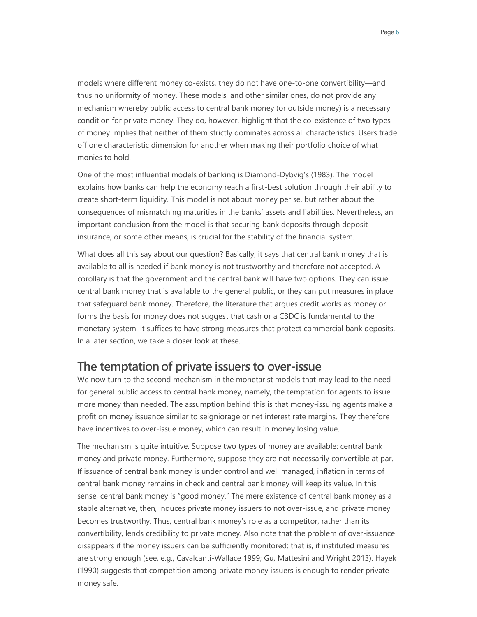Page 6

models where different money co-exists, they do not have one-to-one convertibility—and thus no uniformity of money. These models, and other similar ones, do not provide any mechanism whereby public access to central bank money (or outside money) is a necessary condition for private money. They do, however, highlight that the co-existence of two types of money implies that neither of them strictly dominates across all characteristics. Users trade off one characteristic dimension for another when making their portfolio choice of what monies to hold.

One of the most influential models of banking is Diamond-Dybvig's (1983). The model explains how banks can help the economy reach a first-best solution through their ability to create short-term liquidity. This model is not about money per se, but rather about the consequences of mismatching maturities in the banks' assets and liabilities. Nevertheless, an important conclusion from the model is that securing bank deposits through deposit insurance, or some other means, is crucial for the stability of the financial system.

What does all this say about our question? Basically, it says that central bank money that is available to all is needed if bank money is not trustworthy and therefore not accepted. A corollary is that the government and the central bank will have two options. They can issue central bank money that is available to the general public, or they can put measures in place that safeguard bank money. Therefore, the literature that argues credit works as money or forms the basis for money does not suggest that cash or a CBDC is fundamental to the monetary system. It suffices to have strong measures that protect commercial bank deposits. In a later section, we take a closer look at these.

#### The temptation of private issuers to over-issue

We now turn to the second mechanism in the monetarist models that may lead to the need for general public access to central bank money, namely, the temptation for agents to issue more money than needed. The assumption behind this is that money-issuing agents make a profit on money issuance similar to seigniorage or net interest rate margins. They therefore have incentives to over-issue money, which can result in money losing value.

The mechanism is quite intuitive. Suppose two types of money are available: central bank money and private money. Furthermore, suppose they are not necessarily convertible at par. If issuance of central bank money is under control and well managed, inflation in terms of central bank money remains in check and central bank money will keep its value. In this sense, central bank money is "good money." The mere existence of central bank money as a stable alternative, then, induces private money issuers to not over-issue, and private money becomes trustworthy. Thus, central bank money's role as a competitor, rather than its convertibility, lends credibility to private money. Also note that the problem of over-issuance disappears if the money issuers can be sufficiently monitored: that is, if instituted measures are strong enough (see, e.g., Cavalcanti-Wallace 1999; Gu, Mattesini and Wright 2013). Hayek (1990) suggests that competition among private money issuers is enough to render private money safe.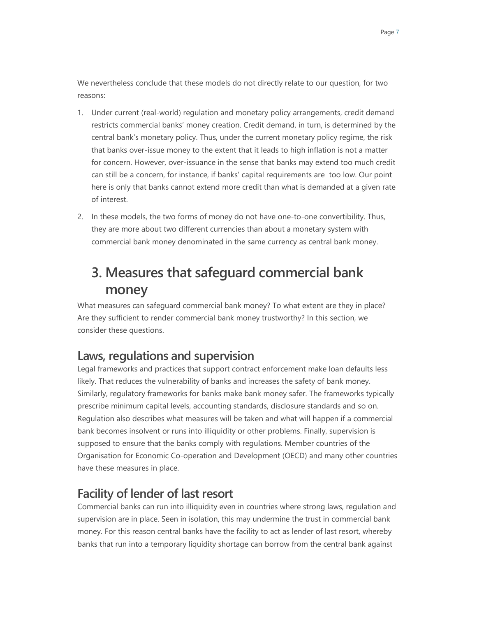We nevertheless conclude that these models do not directly relate to our question, for two reasons:

- 1. Under current (real-world) regulation and monetary policy arrangements, credit demand restricts commercial banks' money creation. Credit demand, in turn, is determined by the central bank's monetary policy. Thus, under the current monetary policy regime, the risk that banks over-issue money to the extent that it leads to high inflation is not a matter for concern. However, over-issuance in the sense that banks may extend too much credit can still be a concern, for instance, if banks' capital requirements are too low. Our point here is only that banks cannot extend more credit than what is demanded at a given rate of interest.
- 2. In these models, the two forms of money do not have one-to-one convertibility. Thus, they are more about two different currencies than about a monetary system with commercial bank money denominated in the same currency as central bank money.

# **3. Measures that safeguard commercial bank money**

What measures can safeguard commercial bank money? To what extent are they in place? Are they sufficient to render commercial bank money trustworthy? In this section, we consider these questions.

## **Laws, regulations and supervision**

Legal frameworks and practices that support contract enforcement make loan defaults less likely. That reduces the vulnerability of banks and increases the safety of bank money. Similarly, regulatory frameworks for banks make bank money safer. The frameworks typically prescribe minimum capital levels, accounting standards, disclosure standards and so on. Regulation also describes what measures will be taken and what will happen if a commercial bank becomes insolvent or runs into illiquidity or other problems. Finally, supervision is supposed to ensure that the banks comply with regulations. Member countries of the Organisation for Economic Co-operation and Development (OECD) and many other countries have these measures in place.

## **Facility of lender of last resort**

Commercial banks can run into illiquidity even in countries where strong laws, regulation and supervision are in place. Seen in isolation, this may undermine the trust in commercial bank money. For this reason central banks have the facility to act as lender of last resort, whereby banks that run into a temporary liquidity shortage can borrow from the central bank against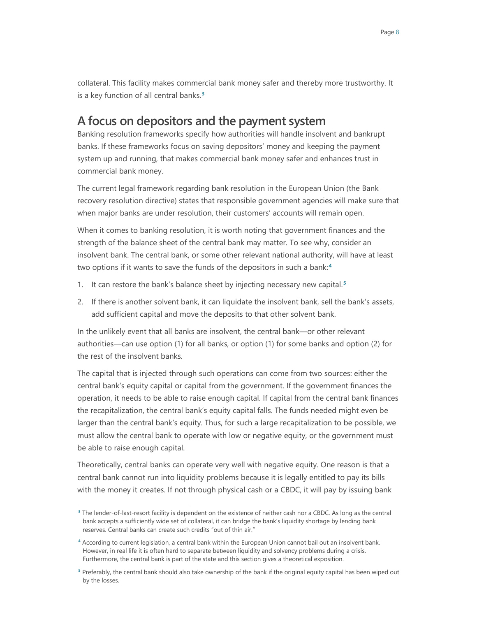collateral. This facility makes commercial bank money safer and thereby more trustworthy. It is a key function of all central banks.**[3](#page-10-0)**

#### **A focus on depositors and the payment system**

Banking resolution frameworks specify how authorities will handle insolvent and bankrupt banks. If these frameworks focus on saving depositors' money and keeping the payment system up and running, that makes commercial bank money safer and enhances trust in commercial bank money.

The current legal framework regarding bank resolution in the European Union (the Bank recovery resolution directive) states that responsible government agencies will make sure that when major banks are under resolution, their customers' accounts will remain open.

When it comes to banking resolution, it is worth noting that government finances and the strength of the balance sheet of the central bank may matter. To see why, consider an insolvent bank. The central bank, or some other relevant national authority, will have at least two options if it wants to save the funds of the depositors in such a bank:**[4](#page-10-1)**

- 1. It can restore the bank's balance sheet by injecting necessary new capital.**[5](#page-10-2)**
- 2. If there is another solvent bank, it can liquidate the insolvent bank, sell the bank's assets, add sufficient capital and move the deposits to that other solvent bank.

In the unlikely event that all banks are insolvent, the central bank—or other relevant authorities—can use option (1) for all banks, or option (1) for some banks and option (2) for the rest of the insolvent banks.

The capital that is injected through such operations can come from two sources: either the central bank's equity capital or capital from the government. If the government finances the operation, it needs to be able to raise enough capital. If capital from the central bank finances the recapitalization, the central bank's equity capital falls. The funds needed might even be larger than the central bank's equity. Thus, for such a large recapitalization to be possible, we must allow the central bank to operate with low or negative equity, or the government must be able to raise enough capital.

Theoretically, central banks can operate very well with negative equity. One reason is that a central bank cannot run into liquidity problems because it is legally entitled to pay its bills with the money it creates. If not through physical cash or a CBDC, it will pay by issuing bank

-

<span id="page-10-0"></span>**<sup>3</sup>** The lender-of-last-resort facility is dependent on the existence of neither cash nor a CBDC. As long as the central bank accepts a sufficiently wide set of collateral, it can bridge the bank's liquidity shortage by lending bank reserves. Central banks can create such credits "out of thin air."

<span id="page-10-1"></span>**<sup>4</sup>** According to current legislation, a central bank within the European Union cannot bail out an insolvent bank. However, in real life it is often hard to separate between liquidity and solvency problems during a crisis. Furthermore, the central bank is part of the state and this section gives a theoretical exposition.

<span id="page-10-2"></span>**<sup>5</sup>** Preferably, the central bank should also take ownership of the bank if the original equity capital has been wiped out by the losses.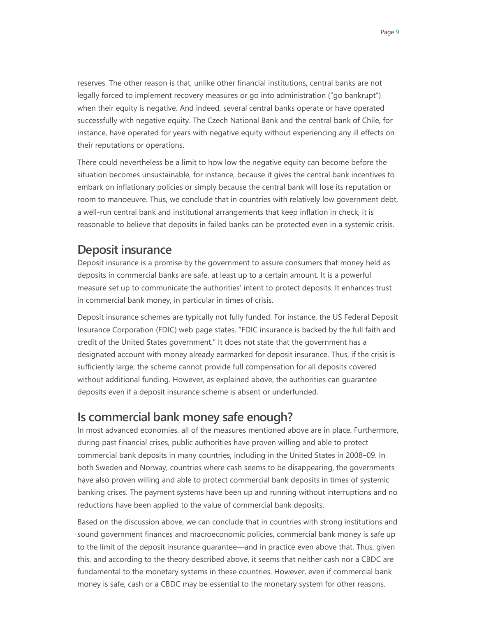reserves. The other reason is that, unlike other financial institutions, central banks are not legally forced to implement recovery measures or go into administration ("go bankrupt") when their equity is negative. And indeed, several central banks operate or have operated successfully with negative equity. The Czech National Bank and the central bank of Chile, for instance, have operated for years with negative equity without experiencing any ill effects on their reputations or operations.

There could nevertheless be a limit to how low the negative equity can become before the situation becomes unsustainable, for instance, because it gives the central bank incentives to embark on inflationary policies or simply because the central bank will lose its reputation or room to manoeuvre. Thus, we conclude that in countries with relatively low government debt, a well-run central bank and institutional arrangements that keep inflation in check, it is reasonable to believe that deposits in failed banks can be protected even in a systemic crisis.

#### **Deposit insurance**

Deposit insurance is a promise by the government to assure consumers that money held as deposits in commercial banks are safe, at least up to a certain amount. It is a powerful measure set up to communicate the authorities' intent to protect deposits. It enhances trust in commercial bank money, in particular in times of crisis.

Deposit insurance schemes are typically not fully funded. For instance, the US Federal Deposit Insurance Corporation (FDIC) web page states, "FDIC insurance is backed by the full faith and credit of the United States government." It does not state that the government has a designated account with money already earmarked for deposit insurance. Thus, if the crisis is sufficiently large, the scheme cannot provide full compensation for all deposits covered without additional funding. However, as explained above, the authorities can guarantee deposits even if a deposit insurance scheme is absent or underfunded.

#### **Is commercial bank money safe enough?**

In most advanced economies, all of the measures mentioned above are in place. Furthermore, during past financial crises, public authorities have proven willing and able to protect commercial bank deposits in many countries, including in the United States in 2008–09. In both Sweden and Norway, countries where cash seems to be disappearing, the governments have also proven willing and able to protect commercial bank deposits in times of systemic banking crises. The payment systems have been up and running without interruptions and no reductions have been applied to the value of commercial bank deposits.

Based on the discussion above, we can conclude that in countries with strong institutions and sound government finances and macroeconomic policies, commercial bank money is safe up to the limit of the deposit insurance guarantee—and in practice even above that. Thus, given this, and according to the theory described above, it seems that neither cash nor a CBDC are fundamental to the monetary systems in these countries. However, even if commercial bank money is safe, cash or a CBDC may be essential to the monetary system for other reasons.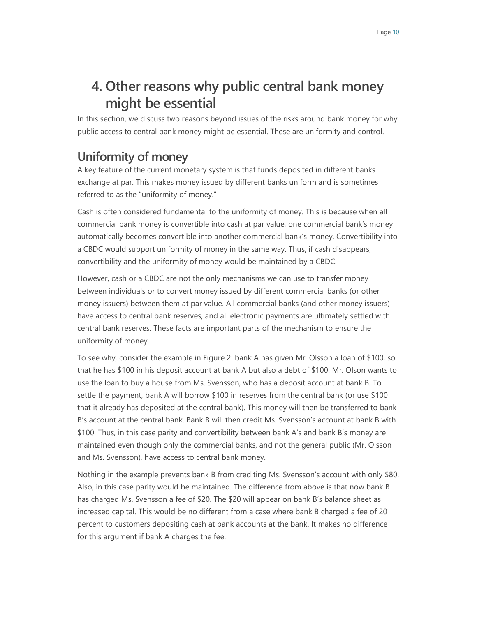# **4. Other reasons why public central bank money might be essential**

In this section, we discuss two reasons beyond issues of the risks around bank money for why public access to central bank money might be essential. These are uniformity and control.

## **Uniformity of money**

A key feature of the current monetary system is that funds deposited in different banks exchange at par. This makes money issued by different banks uniform and is sometimes referred to as the "uniformity of money."

Cash is often considered fundamental to the uniformity of money. This is because when all commercial bank money is convertible into cash at par value, one commercial bank's money automatically becomes convertible into another commercial bank's money. Convertibility into a CBDC would support uniformity of money in the same way. Thus, if cash disappears, convertibility and the uniformity of money would be maintained by a CBDC.

However, cash or a CBDC are not the only mechanisms we can use to transfer money between individuals or to convert money issued by different commercial banks (or other money issuers) between them at par value. All commercial banks (and other money issuers) have access to central bank reserves, and all electronic payments are ultimately settled with central bank reserves. These facts are important parts of the mechanism to ensure the uniformity of money.

To see why, consider the example in Figure 2: bank A has given Mr. Olsson a loan of \$100, so that he has \$100 in his deposit account at bank A but also a debt of \$100. Mr. Olson wants to use the loan to buy a house from Ms. Svensson, who has a deposit account at bank B. To settle the payment, bank A will borrow \$100 in reserves from the central bank (or use \$100 that it already has deposited at the central bank). This money will then be transferred to bank B's account at the central bank. Bank B will then credit Ms. Svensson's account at bank B with \$100. Thus, in this case parity and convertibility between bank A's and bank B's money are maintained even though only the commercial banks, and not the general public (Mr. Olsson and Ms. Svensson), have access to central bank money.

Nothing in the example prevents bank B from crediting Ms. Svensson's account with only \$80. Also, in this case parity would be maintained. The difference from above is that now bank B has charged Ms. Svensson a fee of \$20. The \$20 will appear on bank B's balance sheet as increased capital. This would be no different from a case where bank B charged a fee of 20 percent to customers depositing cash at bank accounts at the bank. It makes no difference for this argument if bank A charges the fee.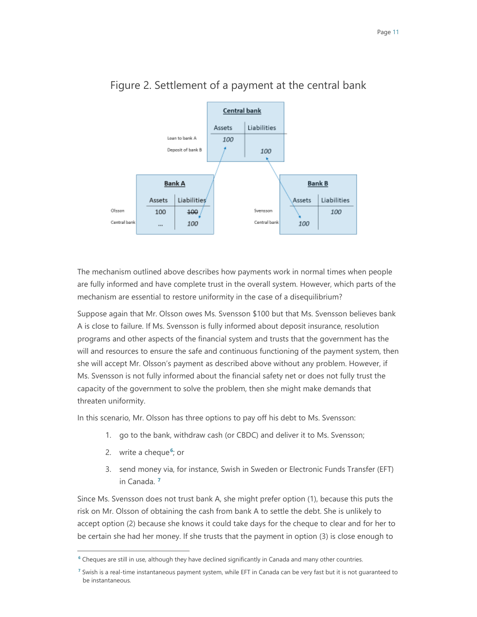

#### Figure 2. Settlement of a payment at the central bank

The mechanism outlined above describes how payments work in normal times when people are fully informed and have complete trust in the overall system. However, which parts of the mechanism are essential to restore uniformity in the case of a disequilibrium?

Suppose again that Mr. Olsson owes Ms. Svensson \$100 but that Ms. Svensson believes bank A is close to failure. If Ms. Svensson is fully informed about deposit insurance, resolution programs and other aspects of the financial system and trusts that the government has the will and resources to ensure the safe and continuous functioning of the payment system, then she will accept Mr. Olsson's payment as described above without any problem. However, if Ms. Svensson is not fully informed about the financial safety net or does not fully trust the capacity of the government to solve the problem, then she might make demands that threaten uniformity.

In this scenario, Mr. Olsson has three options to pay off his debt to Ms. Svensson:

- 1. go to the bank, withdraw cash (or CBDC) and deliver it to Ms. Svensson;
- 2. write a cheque**[6](#page-13-0)**; or

-

3. send money via, for instance, Swish in Sweden or Electronic Funds Transfer (EFT) in Canada. **[7](#page-13-1)**

Since Ms. Svensson does not trust bank A, she might prefer option (1), because this puts the risk on Mr. Olsson of obtaining the cash from bank A to settle the debt. She is unlikely to accept option (2) because she knows it could take days for the cheque to clear and for her to be certain she had her money. If she trusts that the payment in option (3) is close enough to

<span id="page-13-0"></span>**<sup>6</sup>** Cheques are still in use, although they have declined significantly in Canada and many other countries.

<span id="page-13-1"></span>**<sup>7</sup>** Swish is a real-time instantaneous payment system, while EFT in Canada can be very fast but it is not guaranteed to be instantaneous.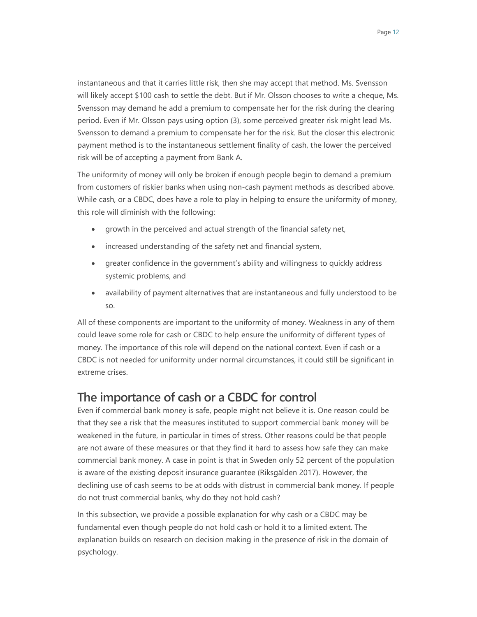instantaneous and that it carries little risk, then she may accept that method. Ms. Svensson will likely accept \$100 cash to settle the debt. But if Mr. Olsson chooses to write a cheque, Ms. Svensson may demand he add a premium to compensate her for the risk during the clearing period. Even if Mr. Olsson pays using option (3), some perceived greater risk might lead Ms. Svensson to demand a premium to compensate her for the risk. But the closer this electronic payment method is to the instantaneous settlement finality of cash, the lower the perceived risk will be of accepting a payment from Bank A.

The uniformity of money will only be broken if enough people begin to demand a premium from customers of riskier banks when using non-cash payment methods as described above. While cash, or a CBDC, does have a role to play in helping to ensure the uniformity of money, this role will diminish with the following:

- growth in the perceived and actual strength of the financial safety net,
- increased understanding of the safety net and financial system,
- greater confidence in the government's ability and willingness to quickly address systemic problems, and
- availability of payment alternatives that are instantaneous and fully understood to be so.

All of these components are important to the uniformity of money. Weakness in any of them could leave some role for cash or CBDC to help ensure the uniformity of different types of money. The importance of this role will depend on the national context. Even if cash or a CBDC is not needed for uniformity under normal circumstances, it could still be significant in extreme crises.

## **The importance of cash or a CBDC for control**

Even if commercial bank money is safe, people might not believe it is. One reason could be that they see a risk that the measures instituted to support commercial bank money will be weakened in the future, in particular in times of stress. Other reasons could be that people are not aware of these measures or that they find it hard to assess how safe they can make commercial bank money. A case in point is that in Sweden only 52 percent of the population is aware of the existing deposit insurance guarantee (Riksgälden 2017). However, the declining use of cash seems to be at odds with distrust in commercial bank money. If people do not trust commercial banks, why do they not hold cash?

In this subsection, we provide a possible explanation for why cash or a CBDC may be fundamental even though people do not hold cash or hold it to a limited extent. The explanation builds on research on decision making in the presence of risk in the domain of psychology.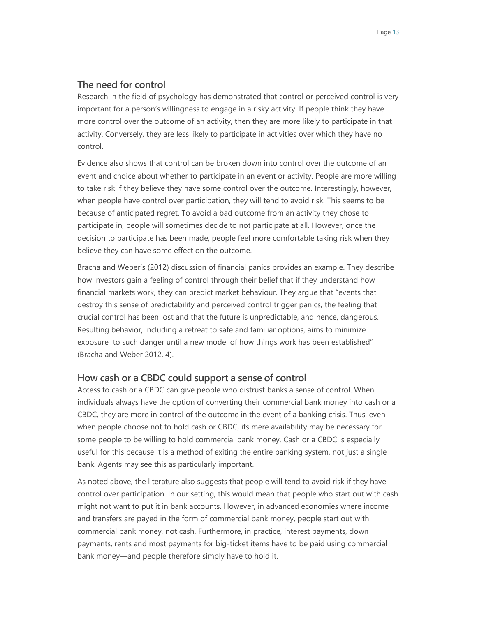#### **The need for control**

Research in the field of psychology has demonstrated that control or perceived control is very important for a person's willingness to engage in a risky activity. If people think they have more control over the outcome of an activity, then they are more likely to participate in that activity. Conversely, they are less likely to participate in activities over which they have no control.

Evidence also shows that control can be broken down into control over the outcome of an event and choice about whether to participate in an event or activity. People are more willing to take risk if they believe they have some control over the outcome. Interestingly, however, when people have control over participation, they will tend to avoid risk. This seems to be because of anticipated regret. To avoid a bad outcome from an activity they chose to participate in, people will sometimes decide to not participate at all. However, once the decision to participate has been made, people feel more comfortable taking risk when they believe they can have some effect on the outcome.

Bracha and Weber's (2012) discussion of financial panics provides an example. They describe how investors gain a feeling of control through their belief that if they understand how financial markets work, they can predict market behaviour. They argue that "events that destroy this sense of predictability and perceived control trigger panics, the feeling that crucial control has been lost and that the future is unpredictable, and hence, dangerous. Resulting behavior, including a retreat to safe and familiar options, aims to minimize exposure to such danger until a new model of how things work has been established" (Bracha and Weber 2012, 4).

#### **How cash or a CBDC could support a sense of control**

Access to cash or a CBDC can give people who distrust banks a sense of control. When individuals always have the option of converting their commercial bank money into cash or a CBDC, they are more in control of the outcome in the event of a banking crisis. Thus, even when people choose not to hold cash or CBDC, its mere availability may be necessary for some people to be willing to hold commercial bank money. Cash or a CBDC is especially useful for this because it is a method of exiting the entire banking system, not just a single bank. Agents may see this as particularly important.

As noted above, the literature also suggests that people will tend to avoid risk if they have control over participation. In our setting, this would mean that people who start out with cash might not want to put it in bank accounts. However, in advanced economies where income and transfers are payed in the form of commercial bank money, people start out with commercial bank money, not cash. Furthermore, in practice, interest payments, down payments, rents and most payments for big-ticket items have to be paid using commercial bank money—and people therefore simply have to hold it.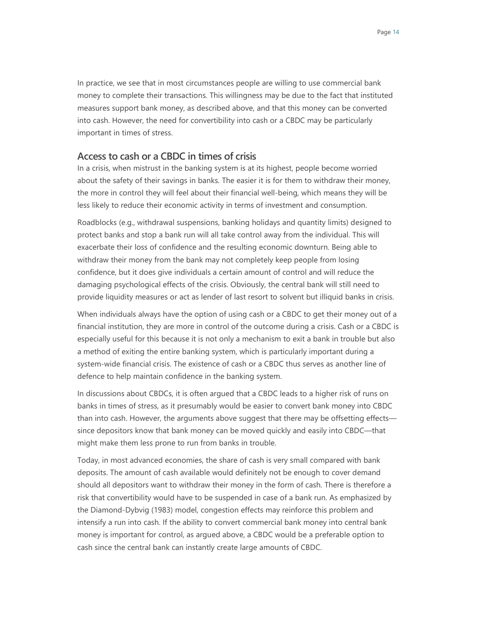In practice, we see that in most circumstances people are willing to use commercial bank money to complete their transactions. This willingness may be due to the fact that instituted measures support bank money, as described above, and that this money can be converted into cash. However, the need for convertibility into cash or a CBDC may be particularly important in times of stress.

#### **Access to cash or a CBDC in times of crisis**

In a crisis, when mistrust in the banking system is at its highest, people become worried about the safety of their savings in banks. The easier it is for them to withdraw their money, the more in control they will feel about their financial well-being, which means they will be less likely to reduce their economic activity in terms of investment and consumption.

Roadblocks (e.g., withdrawal suspensions, banking holidays and quantity limits) designed to protect banks and stop a bank run will all take control away from the individual. This will exacerbate their loss of confidence and the resulting economic downturn. Being able to withdraw their money from the bank may not completely keep people from losing confidence, but it does give individuals a certain amount of control and will reduce the damaging psychological effects of the crisis. Obviously, the central bank will still need to provide liquidity measures or act as lender of last resort to solvent but illiquid banks in crisis.

When individuals always have the option of using cash or a CBDC to get their money out of a financial institution, they are more in control of the outcome during a crisis. Cash or a CBDC is especially useful for this because it is not only a mechanism to exit a bank in trouble but also a method of exiting the entire banking system, which is particularly important during a system-wide financial crisis. The existence of cash or a CBDC thus serves as another line of defence to help maintain confidence in the banking system.

In discussions about CBDCs, it is often argued that a CBDC leads to a higher risk of runs on banks in times of stress, as it presumably would be easier to convert bank money into CBDC than into cash. However, the arguments above suggest that there may be offsetting effects since depositors know that bank money can be moved quickly and easily into CBDC—that might make them less prone to run from banks in trouble.

Today, in most advanced economies, the share of cash is very small compared with bank deposits. The amount of cash available would definitely not be enough to cover demand should all depositors want to withdraw their money in the form of cash. There is therefore a risk that convertibility would have to be suspended in case of a bank run. As emphasized by the Diamond-Dybvig (1983) model, congestion effects may reinforce this problem and intensify a run into cash. If the ability to convert commercial bank money into central bank money is important for control, as argued above, a CBDC would be a preferable option to cash since the central bank can instantly create large amounts of CBDC.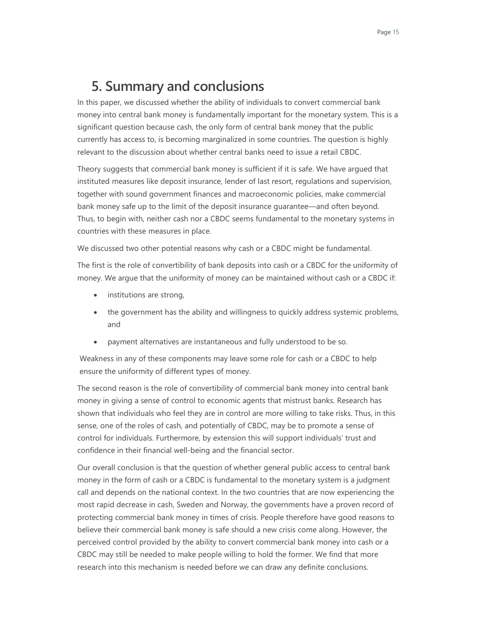# **5. Summary and conclusions**

In this paper, we discussed whether the ability of individuals to convert commercial bank money into central bank money is fundamentally important for the monetary system. This is a significant question because cash, the only form of central bank money that the public currently has access to, is becoming marginalized in some countries. The question is highly relevant to the discussion about whether central banks need to issue a retail CBDC.

Theory suggests that commercial bank money is sufficient if it is safe. We have argued that instituted measures like deposit insurance, lender of last resort, regulations and supervision, together with sound government finances and macroeconomic policies, make commercial bank money safe up to the limit of the deposit insurance guarantee—and often beyond. Thus, to begin with, neither cash nor a CBDC seems fundamental to the monetary systems in countries with these measures in place.

We discussed two other potential reasons why cash or a CBDC might be fundamental.

The first is the role of convertibility of bank deposits into cash or a CBDC for the uniformity of money. We argue that the uniformity of money can be maintained without cash or a CBDC if:

- institutions are strong,
- the government has the ability and willingness to quickly address systemic problems, and
- payment alternatives are instantaneous and fully understood to be so.

Weakness in any of these components may leave some role for cash or a CBDC to help ensure the uniformity of different types of money.

The second reason is the role of convertibility of commercial bank money into central bank money in giving a sense of control to economic agents that mistrust banks. Research has shown that individuals who feel they are in control are more willing to take risks. Thus, in this sense, one of the roles of cash, and potentially of CBDC, may be to promote a sense of control for individuals. Furthermore, by extension this will support individuals' trust and confidence in their financial well-being and the financial sector.

Our overall conclusion is that the question of whether general public access to central bank money in the form of cash or a CBDC is fundamental to the monetary system is a judgment call and depends on the national context. In the two countries that are now experiencing the most rapid decrease in cash, Sweden and Norway, the governments have a proven record of protecting commercial bank money in times of crisis. People therefore have good reasons to believe their commercial bank money is safe should a new crisis come along. However, the perceived control provided by the ability to convert commercial bank money into cash or a CBDC may still be needed to make people willing to hold the former. We find that more research into this mechanism is needed before we can draw any definite conclusions.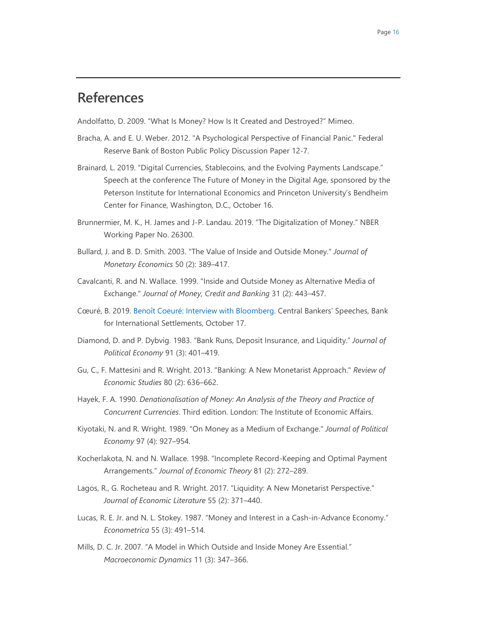## **References**

Andolfatto, D. 2009. "What Is Money? How Is It Created and Destroyed?" Mimeo.

- Bracha, A. and E. U. Weber. 2012. "A Psychological Perspective of Financial Panic." Federal Reserve Bank of Boston Public Policy Discussion Paper 12-7.
- Brainard, L. 2019. "Digital Currencies, Stablecoins, and the Evolving Payments Landscape." Speech at the conference The Future of Money in the Digital Age, sponsored by the Peterson Institute for International Economics and Princeton University's Bendheim Center for Finance, Washington, D.C., October 16.
- Brunnermier, M. K., H. James and J-P. Landau. 2019. "The Digitalization of Money." NBER Working Paper No. 26300.
- Bullard, J. and B. D. Smith. 2003. "The Value of Inside and Outside Money." *Journal of Monetary Economics* 50 (2): 389–417.
- Cavalcanti, R. and N. Wallace. 1999. "Inside and Outside Money as Alternative Media of Exchange." *Journal of Money, Credit and Banking* 31 (2): 443–457.
- Cœuré, B. 2019. [Benoît Coeuré: Interview with Bloomberg.](https://www.bis.org/review/r191017d.pdf) Central Bankers' Speeches, Bank for International Settlements, October 17.
- Diamond, D. and P. Dybvig. 1983. "Bank Runs, Deposit Insurance, and Liquidity." *Journal of Political Economy* 91 (3): 401–419.
- Gu, C., F. Mattesini and R. Wright. 2013. "Banking: A New Monetarist Approach." *Review of Economic Studies* 80 (2): 636–662.
- Hayek, F. A. 1990. *Denationalisation of Money: An Analysis of the Theory and Practice of Concurrent Currencies*. Third edition. London: The Institute of Economic Affairs.
- Kiyotaki, N. and R. Wright. 1989. "On Money as a Medium of Exchange." *Journal of Political Economy* 97 (4): 927–954.
- Kocherlakota, N. and N. Wallace. 1998. "Incomplete Record-Keeping and Optimal Payment Arrangements." *Journal of Economic Theory* 81 (2): 272–289.
- Lagos, R., G. Rocheteau and R. Wright. 2017. "Liquidity: A New Monetarist Perspective." *Journal of Economic Literature* 55 (2): 371–440.
- Lucas, R. E. Jr. and N. L. Stokey. 1987. "Money and Interest in a Cash-in-Advance Economy." *Econometrica* 55 (3): 491–514.
- Mills, D. C. Jr. 2007. "A Model in Which Outside and Inside Money Are Essential." *Macroeconomic Dynamics* 11 (3): 347–366.